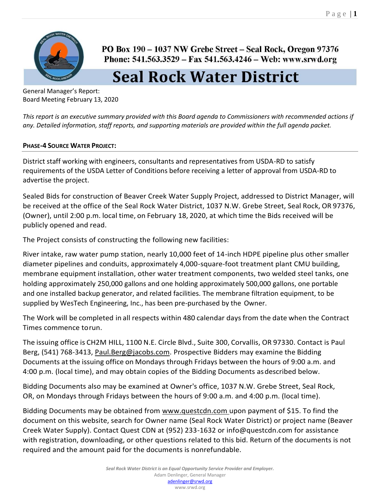

PO Box 190 – 1037 NW Grebe Street – Seal Rock, Oregon 97376 Phone: 541.563.3529 - Fax 541.563.4246 - Web: www.srwd.org

## **Seal Rock Water District**

General Manager's Report: Board Meeting February 13, 2020

*This report is an executive summary provided with this Board agenda to Commissioners with recommended actions if any. Detailed information, staff reports, and supporting materials are provided within the full agenda packet.* 

## **PHASE-4 SOURCE WATER PROJECT:**

District staff working with engineers, consultants and representatives from USDA-RD to satisfy requirements of the USDA Letter of Conditions before receiving a letter of approval from USDA-RD to advertise the project.

Sealed Bids for construction of Beaver Creek Water Supply Project, addressed to District Manager, will be received at the office of the Seal Rock Water District, 1037 N.W. Grebe Street, Seal Rock, OR 97376, (Owner), until 2:00 p.m. local time, on February 18, 2020, at which time the Bids received will be publicly opened and read.

The Project consists of constructing the following new facilities:

River intake, raw water pump station, nearly 10,000 feet of 14-inch HDPE pipeline plus other smaller diameter pipelines and conduits, approximately 4,000-square-foot treatment plant CMU building, membrane equipment installation, other water treatment components, two welded steel tanks, one holding approximately 250,000 gallons and one holding approximately 500,000 gallons, one portable and one installed backup generator, and related facilities. The membrane filtration equipment, to be supplied by WesTech Engineering, Inc., has been pre-purchased by the Owner.

The Work will be completed in all respects within 480 calendar daysfrom the date when the Contract Times commence torun.

The issuing office is CH2M HILL, 1100 N.E. Circle Blvd., Suite 300, Corvallis, OR 97330. Contact is Paul Berg, (541) 768-3413, [Paul.Berg@jacobs.com.](mailto:Paul.Berg@jacobs.com) Prospective Bidders may examine the Bidding Documents at the issuing office on Mondays through Fridays between the hours of 9:00 a.m. and 4:00 p.m. (local time), and may obtain copies of the Bidding Documents asdescribed below.

Bidding Documents also may be examined at Owner's office, 1037 N.W. Grebe Street, Seal Rock, OR, on Mondays through Fridays between the hours of 9:00 a.m. and 4:00 p.m. (local time).

Bidding Documents may be obtained from [www.questcdn.com u](http://www.questcdn.com/)pon payment of \$15. To find the document on this website, search for Owner name (Seal Rock Water District) or project name (Beaver Creek Water Supply). Contact Quest CDN at (952) 233-1632 or [info@questcdn.com](mailto:info@questcdn.com) for assistance with registration, downloading, or other questions related to this bid. Return of the documents is not required and the amount paid for the documents is nonrefundable.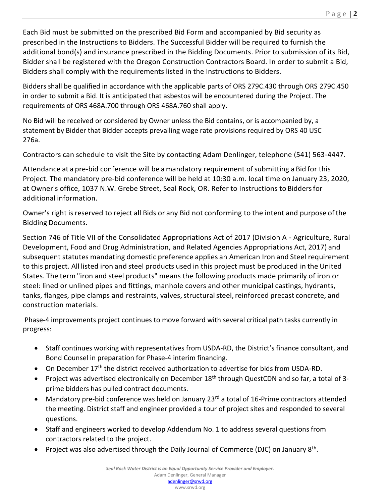Each Bid must be submitted on the prescribed Bid Form and accompanied by Bid security as prescribed in the Instructions to Bidders. The Successful Bidder will be required to furnish the additional bond(s) and insurance prescribed in the Bidding Documents. Prior to submission of its Bid, Bidder shall be registered with the Oregon Construction Contractors Board. In order to submit a Bid, Bidders shall comply with the requirements listed in the Instructions to Bidders.

Bidders shall be qualified in accordance with the applicable parts of ORS 279C.430 through ORS 279C.450 in order to submit a Bid. It is anticipated that asbestos will be encountered during the Project. The requirements of ORS 468A.700 through ORS 468A.760 shall apply.

No Bid will be received or considered by Owner unless the Bid contains, or is accompanied by, a statement by Bidder that Bidder accepts prevailing wage rate provisions required by ORS 40 USC 276a.

Contractors can schedule to visit the Site by contacting Adam Denlinger, telephone (541) 563-4447.

Attendance at a pre-bid conference will be a mandatory requirement ofsubmitting a Bid for this Project. The mandatory pre-bid conference will be held at 10:30 a.m. local time on January 23, 2020, at Owner's office, 1037 N.W. Grebe Street, Seal Rock, OR. Refer to Instructions to Biddersfor additional information.

Owner's right is reserved to reject all Bids or any Bid not conforming to the intent and purpose of the Bidding Documents.

Section 746 of Title VII of the Consolidated Appropriations Act of 2017 (Division A - Agriculture, Rural Development, Food and Drug Administration, and Related Agencies Appropriations Act, 2017) and subsequent statutes mandating domestic preference applies an American Iron and Steel requirement to this project. All listed iron and steel products used in this project must be produced in the United States. The term "iron and steel products" means the following products made primarily of iron or steel: lined or unlined pipes and fittings, manhole covers and other municipal castings, hydrants, tanks, flanges, pipe clamps and restraints, valves, structural steel, reinforced precast concrete, and construction materials.

Phase-4 improvements project continues to move forward with several critical path tasks currently in progress:

- Staff continues working with representatives from USDA-RD, the District's finance consultant, and Bond Counsel in preparation for Phase-4 interim financing.
- On December 17<sup>th</sup> the district received authorization to advertise for bids from USDA-RD.
- Project was advertised electronically on December 18<sup>th</sup> through QuestCDN and so far, a total of 3prime bidders has pulled contract documents.
- Mandatory pre-bid conference was held on January 23<sup>rd</sup> a total of 16-Prime contractors attended the meeting. District staff and engineer provided a tour of project sites and responded to several questions.
- Staff and engineers worked to develop Addendum No. 1 to address several questions from contractors related to the project.
- Project was also advertised through the Daily Journal of Commerce (DJC) on January 8<sup>th</sup>.